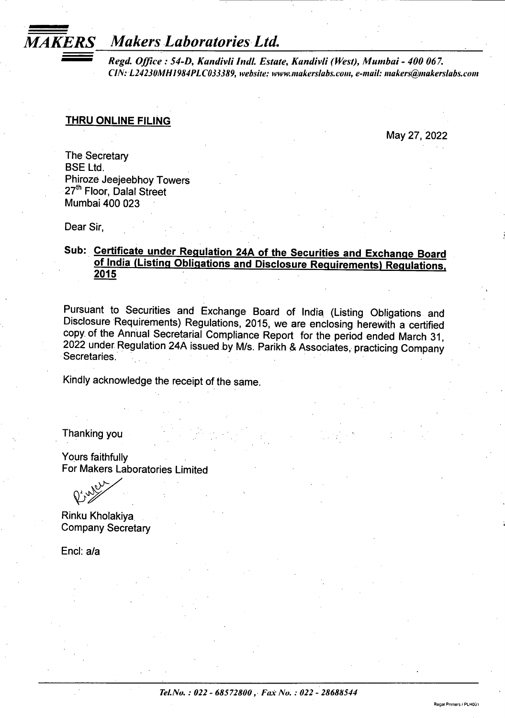# *MAKERS Makers Laboratories Ltd.*

*Regd. Office : 54-D, Kandivli Indl. Estate, Kandivli (West), Mumbai - 400 067. CllSI: L24230MH1984PLC033389, website: [www.makerslabs.coin,](http://www.makerslabs.coin) e-mail: [makers@makerslabs.com](mailto:makers@makerslabs.com)*

### **THRU ONLINE FILING**

May 27, 2022

**Regal Printers / PLHOG** 

The Secretary BSE Ltd. Phiroze Jeejeebhoy Towers 27<sup>th</sup> Floor, Dalal Street Mumbai 400 023

Dear Sir,

# **Sub: Certificate under Regulation 24A of the Securities and Exchange Board of India (Listing Obligations and Disclosure Requirements) Regulations. 2015**

Pursuant to Securities and Exchange Board of India (Listing Obligations and Disclosure Requirements) Regulations, 2015, we are enclosing herewith a certified copy of the Annual Secretarial Compliance Report for the period ended March 31, 2022 under Regulation 24A issued by M/s. Parikh & Associates, practicing Company Secretaries.

Kindly acknowledge the receipt of the same.

Thanking you

Yours faithfully For Makers Laboratories Limited

Rinku Kholakiya Company Secretary

End: a/a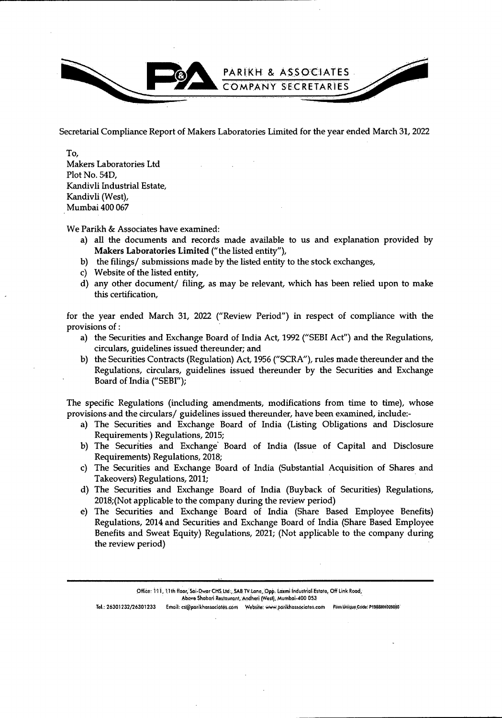

Secretarial Compliance Report of Makers Laboratories Limited for the year ended March 31,2022

To, Makers Laboratories Ltd Plot No. 54D, Kandivli Industrial Estate, Kandivli (West), Mumbai 400 067

We Parikh & Associates have examined:

- a) all the documents and records made available to us and explanation provided by Makers Laboratories Limited ("the listed entity"),
- b) the filings/ submissions made by the listed entity to the stock exchanges,
- c) Website of the listed entity,
- d) any other document/ filing, as may be relevant, which has been relied upon to make this certification.

for the year ended March 31, 2022 ("Review Period") in respect of compliance with the provisions of:

- a) the Securities and Exchange Board of India Act, 1992 ("SEBI Act") and the Regulations, circulars, guidelines issued thereunder; and
- b) the Securities Contracts (Regulation) Act, 1956 ("SCRA"), rules made thereunder and the Regulations, circulars, guidelines issued thereunder by the Securities and Exchange Board of India ("SEBI");

The specific Regulations (including amendments, modifications from time to time), whose provisions and the circulars/ guidelines issued thereunder, have been examined, include:-

- a) The Securities and Exchange Board of India (Listing Obligations and Disclosure Requirements) Regulations, 2015;
- b) The Securities and Exchange Board of India (Issue of Capital and Disclosure Requirements) Regulations, 2018;
- c) The Securities and Exchange Board of India (Substantial Acquisition of Shares and Takeovers) Regulations, 2011;
- d) The Securities and Exchange Board of India (Buyback of Securities) Regulations, 2018;(Not applicable to the company during the review period)
- e) The Securities and Exchange Board of India (Share Based Employee Benefits) Regulations, 2014 and Securities and Exchange Board of India (Share Based Employee Benefits and Sweat Equity) Regulations, 2021; (Not applicable to the company during the review period)

**Office: 111,1:1th floor,'Sai-DVor CHS Ltd;, SAB TV Lane, Opp. Laxmi IhdustritiliEstate, Off Link Rood,**

**Above Shabari Restaurant, Andheri (West), Mumbai-400 053** 

**TeL: 26301232/26301233 Email: [cs@pdrikhassocidtes.cbm](mailto:cs@pdrikhassocidtes.cbm) Website: www.pdfikhdss6ctates:com Firm.UriiquBC6d8: P19?8MH0fl98i)0;**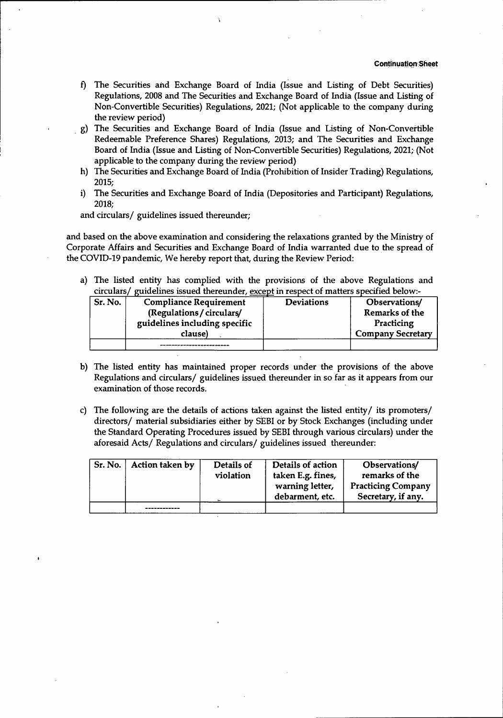- f) The Securities and Exchange Board of India (Issue and Listing of Debt Securities) Regulations, 2008 and The Securities and Exchange Board of India (Issue and Listing of Non-Convertible Securities) Regulations, 2021; (Not applicable to the company during the review period)
- The Securities and Exchange Board of India (Issue and Listing of Non-Convertible **g)** Redeemable Preference Shares) Regulations, 2013; and The Securities and Exchange Board of India (Issue and Listing of Non-Convertible Securities) Regulations, 2021; (Not applicable to the company during the review period)
- The Securities and Exchange Board of India (Prohibition of Insider Trading) Regulations, h) 2015;
- The Securities and Exchange Board of India (Depositories and Participant) Regulations, i) 2018;

and circulars/ guidelines issued thereunder;

and based on the above examination and considering the relaxations granted by the Ministry of Corporate Affairs and Securities and Exchange Board of India warranted due to the spread of the COVID-19 pandemic, We hereby report that, during the Review Period:

a) The listed entity has complied with the provisions of the above Regulations and circulars/ guidelines issued thereunder, except in respect of matters specified below:-

| Sr. No. | <b>Compliance Requirement</b> | <b>Deviations</b> | Observations/            |
|---------|-------------------------------|-------------------|--------------------------|
|         | (Regulations / circulars/     |                   | Remarks of the           |
|         | guidelines including specific |                   | Practicing               |
|         | clause)                       |                   | <b>Company Secretary</b> |
|         |                               |                   |                          |

- b) The listed entity has maintained proper records under the provisions of the above Regulations and circulars/ guidelines issued thereunder in so far as it appears from our examination of those records.
- c) The following are the details of actions taken against the listed entity/ its promoters/ directors/ material subsidiaries either by SEBI or by Stock Exchanges (including under the Standard Operating Procedures issued by SEBI through various circulars) under the aforesaid Acts/ Regulations and circulars/ guidelines issued thereunder:

| Sr. No. | Action taken by | Details of<br>violation | Details of action<br>taken E.g. fines,<br>warning letter,<br>debarment, etc. | Observations/<br>remarks of the<br><b>Practicing Company</b><br>Secretary, if any. |
|---------|-----------------|-------------------------|------------------------------------------------------------------------------|------------------------------------------------------------------------------------|
|         |                 |                         |                                                                              |                                                                                    |